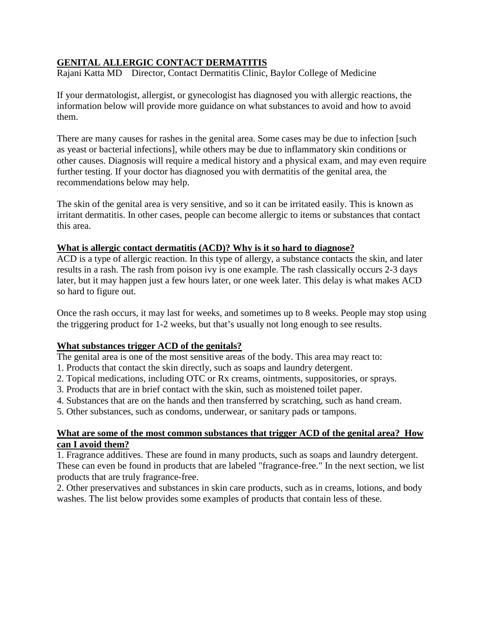# **GENITAL ALLERGIC CONTACT DERMATITIS**

Rajani Katta MD Director, Contact Dermatitis Clinic, Baylor College of Medicine

If your dermatologist, allergist, or gynecologist has diagnosed you with allergic reactions, the information below will provide more guidance on what substances to avoid and how to avoid them.

There are many causes for rashes in the genital area. Some cases may be due to infection [such as yeast or bacterial infections], while others may be due to inflammatory skin conditions or other causes. Diagnosis will require a medical history and a physical exam, and may even require further testing. If your doctor has diagnosed you with dermatitis of the genital area, the recommendations below may help.

The skin of the genital area is very sensitive, and so it can be irritated easily. This is known as irritant dermatitis. In other cases, people can become allergic to items or substances that contact this area.

#### **What is allergic contact dermatitis (ACD)? Why is it so hard to diagnose?**

ACD is a type of allergic reaction. In this type of allergy, a substance contacts the skin, and later results in a rash. The rash from poison ivy is one example. The rash classically occurs 2-3 days later, but it may happen just a few hours later, or one week later. This delay is what makes ACD so hard to figure out.

Once the rash occurs, it may last for weeks, and sometimes up to 8 weeks. People may stop using the triggering product for 1-2 weeks, but that's usually not long enough to see results.

#### **What substances trigger ACD of the genitals?**

The genital area is one of the most sensitive areas of the body. This area may react to:

- 1. Products that contact the skin directly, such as soaps and laundry detergent.
- 2. Topical medications, including OTC or Rx creams, ointments, suppositories, or sprays.
- 3. Products that are in brief contact with the skin, such as moistened toilet paper.
- 4. Substances that are on the hands and then transferred by scratching, such as hand cream.
- 5. Other substances, such as condoms, underwear, or sanitary pads or tampons.

## **What are some of the most common substances that trigger ACD of the genital area? How can I avoid them?**

1. Fragrance additives. These are found in many products, such as soaps and laundry detergent. These can even be found in products that are labeled "fragrance-free." In the next section, we list products that are truly fragrance-free.

2. Other preservatives and substances in skin care products, such as in creams, lotions, and body washes. The list below provides some examples of products that contain less of these.